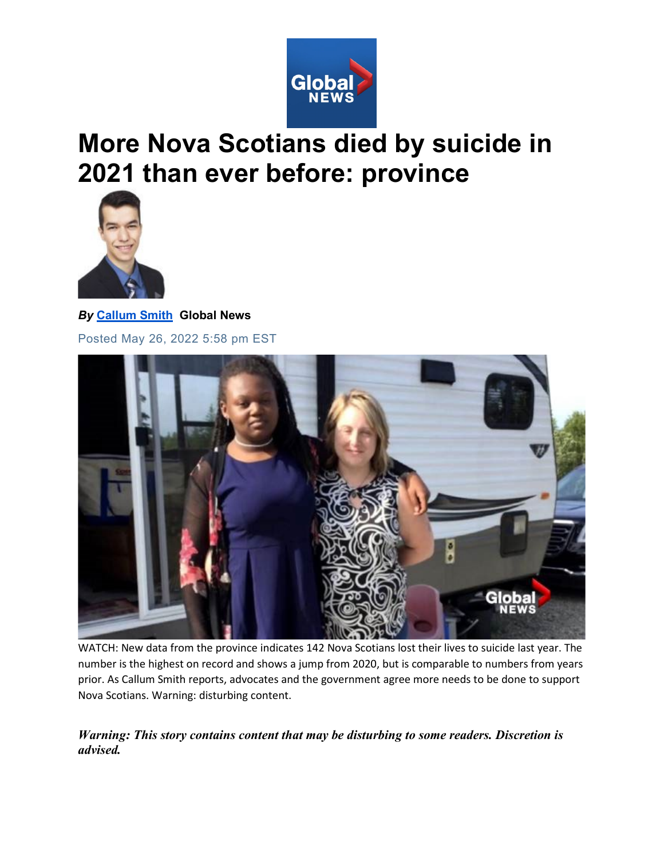

## **More Nova Scotians died by suicide in 2021 than ever before: province**



*By* **[Callum Smith](https://globalnews.ca/author/callum-smith/) Global News**  Posted May 26, 2022 5:58 pm EST



WATCH: New data from the province indicates 142 Nova Scotians lost their lives to suicide last year. The number is the highest on record and shows a jump from 2020, but is comparable to numbers from years prior. As Callum Smith reports, advocates and the government agree more needs to be done to support Nova Scotians. Warning: disturbing content.

*Warning: This story contains content that may be disturbing to some readers. Discretion is advised.*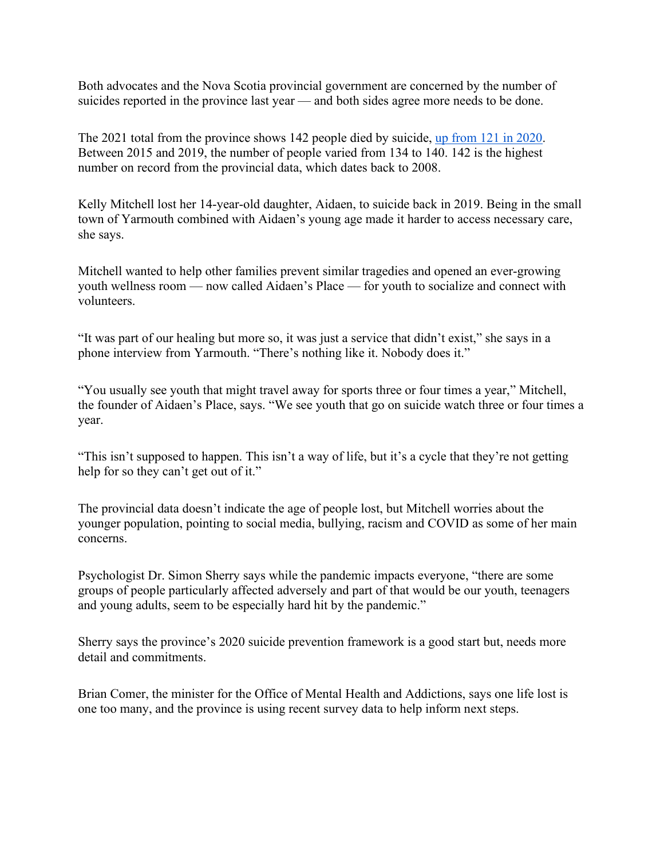Both advocates and the Nova Scotia provincial government are concerned by the number of suicides reported in the province last year — and both sides agree more needs to be done.

The 2021 total from the province shows 142 people died by suicide, [up from 121 in 2020.](https://globalnews.ca/news/7880103/ns-drop-in-suicides-2020/) Between 2015 and 2019, the number of people varied from 134 to 140. 142 is the highest number on record from the provincial data, which dates back to 2008.

Kelly Mitchell lost her 14-year-old daughter, Aidaen, to suicide back in 2019. Being in the small town of Yarmouth combined with Aidaen's young age made it harder to access necessary care, she says.

Mitchell wanted to help other families prevent similar tragedies and opened an ever-growing youth wellness room — now called Aidaen's Place — for youth to socialize and connect with volunteers.

"It was part of our healing but more so, it was just a service that didn't exist," she says in a phone interview from Yarmouth. "There's nothing like it. Nobody does it."

"You usually see youth that might travel away for sports three or four times a year," Mitchell, the founder of Aidaen's Place, says. "We see youth that go on suicide watch three or four times a year.

"This isn't supposed to happen. This isn't a way of life, but it's a cycle that they're not getting help for so they can't get out of it."

The provincial data doesn't indicate the age of people lost, but Mitchell worries about the younger population, pointing to social media, bullying, racism and COVID as some of her main concerns.

Psychologist Dr. Simon Sherry says while the pandemic impacts everyone, "there are some groups of people particularly affected adversely and part of that would be our youth, teenagers and young adults, seem to be especially hard hit by the pandemic."

Sherry says the province's 2020 suicide prevention framework is a good start but, needs more detail and commitments.

Brian Comer, the minister for the Office of Mental Health and Addictions, says one life lost is one too many, and the province is using recent survey data to help inform next steps.